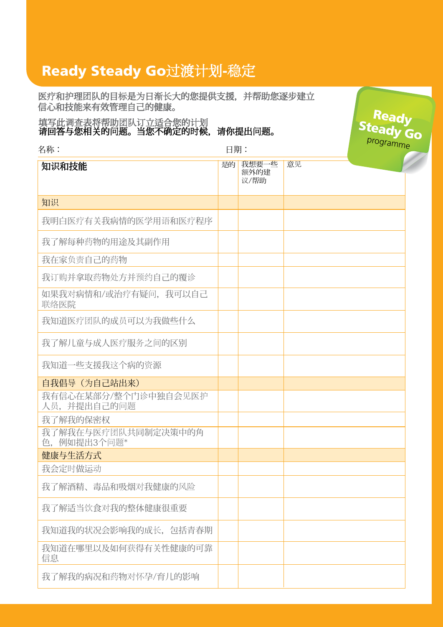## Ready Steady Go过渡计划-稳定

医疗和护理团队的目标是为日渐长大的您提供支援,并帮助您逐步建立 信心和技能来有效管理自己的健康。

Ready 填写此调查表将帮助<u>团队订立适合您的计划</u> Steady Go 请回答与您相关的问题。当您不确定的时候,请你提出问题。 programme名称: 日期: 是的 我想要一些 意见 知识和技能 额外的建 议/帮助 知识 我明白医疗有关我病情的医学用语和医疗程序 我了解每种药物的用途及其副作用 我在家负责自己的药物 我订购并拿取药物处方并预约自己的覆诊 如果我对病情和/或治疗有疑问,我可以自己 联络医院 我知道医疗团队的成员可以为我做些什么 我了解儿童与成人医疗服务之间的区别 我知道一些支援我这个病的资源 自我倡导(为自己站出来) 我有信心在某部分/整个门诊中独自会见医护 人员,并提出自己的问题 我了解我的保密权 我了解我在与医疗团队共同制定决策中的角 色,例如提出3个问题\* 健康与生活方式 我会定时做运动 我了解酒精、毒品和吸烟对我健康的风险 我了解适当饮食对我的整体健康很重要 我知道我的状况会影响我的成长,包括青春期 我知道在哪里以及如何获得有关性健康的可靠 信息 我了解我的病况和药物对怀孕/育儿的影响